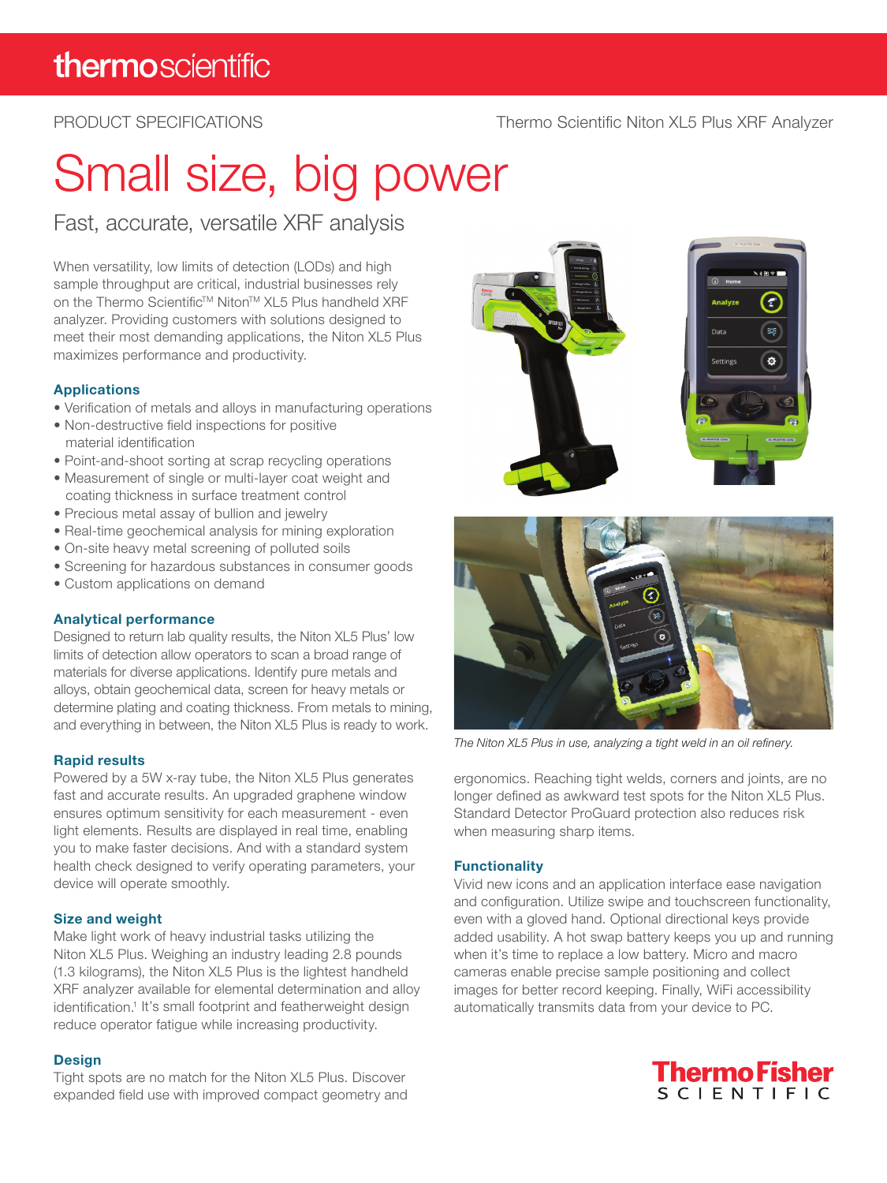### PRODUCT SPECIFICATIONS

#### Thermo Scientific Niton XL5 Plus XRF Analyzer

# Small size, big power

Fast, accurate, versatile XRF analysis

When versatility, low limits of detection (LODs) and high sample throughput are critical, industrial businesses rely on the Thermo Scientific™ Niton™ XL5 Plus handheld XRF analyzer. Providing customers with solutions designed to meet their most demanding applications, the Niton XL5 Plus maximizes performance and productivity.

#### Applications

- Verification of metals and alloys in manufacturing operations
- Non-destructive field inspections for positive material identification
- Point-and-shoot sorting at scrap recycling operations
- Measurement of single or multi-layer coat weight and coating thickness in surface treatment control
- Precious metal assay of bullion and jewelry
- Real-time geochemical analysis for mining exploration
- On-site heavy metal screening of polluted soils
- Screening for hazardous substances in consumer goods
- Custom applications on demand

#### Analytical performance

Designed to return lab quality results, the Niton XL5 Plus' low limits of detection allow operators to scan a broad range of materials for diverse applications. Identify pure metals and alloys, obtain geochemical data, screen for heavy metals or determine plating and coating thickness. From metals to mining, and everything in between, the Niton XL5 Plus is ready to work.

#### Rapid results

Powered by a 5W x-ray tube, the Niton XL5 Plus generates fast and accurate results. An upgraded graphene window ensures optimum sensitivity for each measurement - even light elements. Results are displayed in real time, enabling you to make faster decisions. And with a standard system health check designed to verify operating parameters, your device will operate smoothly.

#### Size and weight

Make light work of heavy industrial tasks utilizing the Niton XL5 Plus. Weighing an industry leading 2.8 pounds (1.3 kilograms), the Niton XL5 Plus is the lightest handheld XRF analyzer available for elemental determination and alloy identification.<sup>1</sup> It's small footprint and featherweight design reduce operator fatigue while increasing productivity.

#### **Design**

Tight spots are no match for the Niton XL5 Plus. Discover expanded field use with improved compact geometry and





*The Niton XL5 Plus in use, analyzing a tight weld in an oil refinery.*

ergonomics. Reaching tight welds, corners and joints, are no longer defined as awkward test spots for the Niton XL5 Plus. Standard Detector ProGuard protection also reduces risk when measuring sharp items.

#### **Functionality**

Vivid new icons and an application interface ease navigation and configuration. Utilize swipe and touchscreen functionality, even with a gloved hand. Optional directional keys provide added usability. A hot swap battery keeps you up and running when it's time to replace a low battery. Micro and macro cameras enable precise sample positioning and collect images for better record keeping. Finally, WiFi accessibility automatically transmits data from your device to PC.